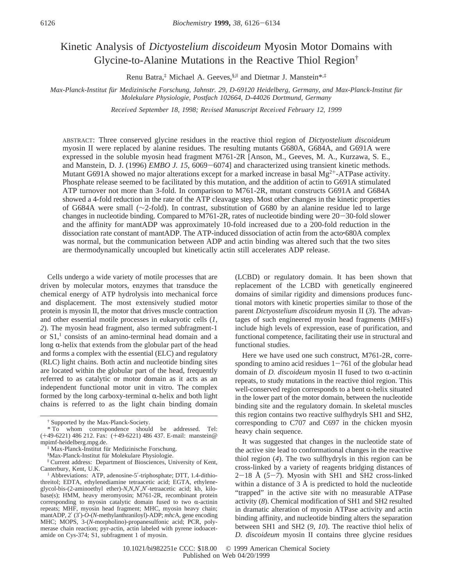# Kinetic Analysis of *Dictyostelium discoideum* Myosin Motor Domains with Glycine-to-Alanine Mutations in the Reactive Thiol Region†

Renu Batra,<sup>‡</sup> Michael A. Geeves, §,<sup>||</sup> and Dietmar J. Manstein<sup>\*,‡</sup>

*Max-Planck-Institut fu*¨*r Medizinische Forschung, Jahnstr. 29, D-69120 Heidelberg, Germany, and Max-Planck-Institut fu*¨*r Molekulare Physiologie, Postfach 102664, D-44026 Dortmund, Germany*

*Recei*V*ed September 18, 1998; Re*V*ised Manuscript Recei*V*ed February 12, 1999*

ABSTRACT: Three conserved glycine residues in the reactive thiol region of *Dictyostelium discoideum* myosin II were replaced by alanine residues. The resulting mutants G680A, G684A, and G691A were expressed in the soluble myosin head fragment M761-2R [Anson, M., Geeves, M. A., Kurzawa, S. E., and Manstein, D. J. (1996) *EMBO J. 15*, 6069–6074] and characterized using transient kinetic methods. Mutant G691A showed no major alterations except for a marked increase in basal  $Mg^{2+}$ -ATPase activity. Phosphate release seemed to be facilitated by this mutation, and the addition of actin to G691A stimulated ATP turnover not more than 3-fold. In comparison to M761-2R, mutant constructs G691A and G684A showed a 4-fold reduction in the rate of the ATP cleavage step. Most other changes in the kinetic properties of G684A were small (∼2-fold). In contrast, substitution of G680 by an alanine residue led to large changes in nucleotide binding. Compared to M761-2R, rates of nucleotide binding were 20-30-fold slower and the affinity for mantADP was approximately 10-fold increased due to a 200-fold reduction in the dissociation rate constant of mantADP. The ATP-induced dissociation of actin from the acto'680A complex was normal, but the communication between ADP and actin binding was altered such that the two sites are thermodynamically uncoupled but kinetically actin still accelerates ADP release.

Cells undergo a wide variety of motile processes that are driven by molecular motors, enzymes that transduce the chemical energy of ATP hydrolysis into mechanical force and displacement. The most extensively studied motor protein is myosin II, the motor that drives muscle contraction and other essential motile processes in eukaryotic cells (*1*, *2*). The myosin head fragment, also termed subfragment-1 or  $S1$ ,<sup>1</sup> consists of an amino-terminal head domain and a long  $\alpha$ -helix that extends from the globular part of the head and forms a complex with the essential (ELC) and regulatory (RLC) light chains. Both actin and nucleotide binding sites are located within the globular part of the head, frequently referred to as catalytic or motor domain as it acts as an independent functional motor unit in vitro. The complex formed by the long carboxy-terminal  $\alpha$ -helix and both light chains is referred to as the light chain binding domain

<sup>1</sup> Abbreviations: ATP, adenosine-5'-triphosphate; DTT, 1.4-dithiothreitol; EDTA, ethylenediamine tetraacetic acid; EGTA, ethyleneglycol-bis-(2-aminoethyl ether)-*N*,*N*,*N*′,*N*′-tetraacetic acid; kb, kilobase(s); HMM, heavy meromyosin; M761-2R, recombinant protein corresponding to myosin catalytic domain fused to two  $\alpha$ -actinin repeats; MHF, myosin head fragment; MHC, myosin heavy chain; mantADP, 2′ (3′)-*O*-(*N*-methylanthraniloyl)-ADP; *mhc*A, gene encoding MHC; MOPS, 3-(*N*-morpholino)-propanesulfonic acid; PCR, polymerase chain reaction; pyr-actin, actin labeled with pyrene iodoacetamide on Cys-374; S1, subfragment 1 of myosin.

(LCBD) or regulatory domain. It has been shown that replacement of the LCBD with genetically engineered domains of similar rigidity and dimensions produces functional motors with kinetic properties similar to those of the parent *Dictyostelium discoideum* myosin II (*3*). The advantages of such engineered myosin head fragments (MHFs) include high levels of expression, ease of purification, and functional competence, facilitating their use in structural and functional studies.

Here we have used one such construct, M761-2R, corresponding to amino acid residues  $1-761$  of the globular head domain of *D. discoideum* myosin II fused to two  $\alpha$ -actinin repeats, to study mutations in the reactive thiol region. This well-conserved region corresponds to a bent  $\alpha$ -helix situated in the lower part of the motor domain, between the nucleotide binding site and the regulatory domain. In skeletal muscles this region contains two reactive sulfhydryls SH1 and SH2, corresponding to C707 and C697 in the chicken myosin heavy chain sequence.

It was suggested that changes in the nucleotide state of the active site lead to conformational changes in the reactive thiol region (*4*). The two sulfhydryls in this region can be cross-linked by a variety of reagents bridging distances of <sup>2</sup>-18 Å (*5*-*7*). Myosin with SH1 and SH2 cross-linked within a distance of  $3 \text{ Å}$  is predicted to hold the nucleotide "trapped" in the active site with no measurable ATPase activity (*8*). Chemical modification of SH1 and SH2 resulted in dramatic alteration of myosin ATPase activity and actin binding affinity, and nucleotide binding alters the separation between SH1 and SH2 (*9*, *10*). The reactive thiol helix of *D. discoideum* myosin II contains three glycine residues

<sup>†</sup> Supported by the Max-Planck-Society.

<sup>\*</sup> To whom correspondence should be addressed. Tel: (+49-6221) 486 212. Fax: (+49-6221) 486 437. E-mail: manstein@ mpimf-heidelberg.mpg.de.

<sup>‡</sup> Max-Planck-Institut fu¨r Medizinische Forschung.

<sup>§</sup>Max-Planck-Institut für Molekulare Physiologie.

Current address: Department of Biosciences, University of Kent, Canterbury, Kent, U.K.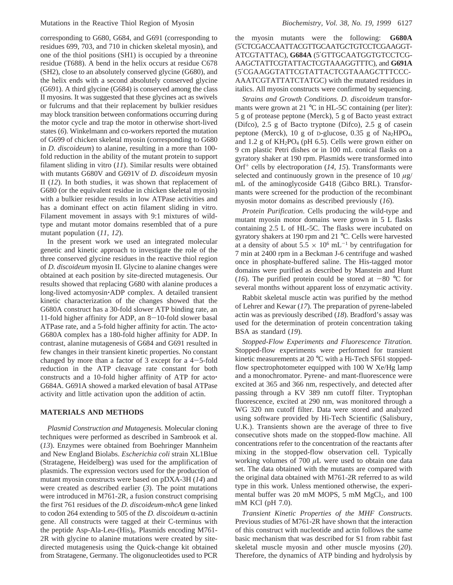corresponding to G680, G684, and G691 (corresponding to residues 699, 703, and 710 in chicken skeletal myosin), and one of the thiol positions (SH1) is occupied by a threonine residue (T688). A bend in the helix occurs at residue C678 (SH2), close to an absolutely conserved glycine (G680), and the helix ends with a second absolutely conserved glycine (G691). A third glycine (G684) is conserved among the class II myosins. It was suggested that these glycines act as swivels or fulcrums and that their replacement by bulkier residues may block transition between conformations occurring during the motor cycle and trap the motor in otherwise short-lived states (*6*). Winkelmann and co-workers reported the mutation of G699 of chicken skeletal myosin (corresponding to G680 in *D. discoideum*) to alanine, resulting in a more than 100 fold reduction in the ability of the mutant protein to support filament sliding in vitro (*11*). Similar results were obtained with mutants G680V and G691V of *D. discoideum* myosin II (*12*). In both studies, it was shown that replacement of G680 (or the equivalent residue in chicken skeletal myosin) with a bulkier residue results in low ATPase activities and has a dominant effect on actin filament sliding in vitro. Filament movement in assays with 9:1 mixtures of wildtype and mutant motor domains resembled that of a pure mutant population (*11*, *12*).

In the present work we used an integrated molecular genetic and kinetic approach to investigate the role of the three conserved glycine residues in the reactive thiol region of *D. discoideum* myosin II. Glycine to alanine changes were obtained at each position by site-directed mutagenesis. Our results showed that replacing G680 with alanine produces a long-lived actomyosin'ADP complex. A detailed transient kinetic characterization of the changes showed that the G680A construct has a 30-fold slower ATP binding rate, an 11-fold higher affinity for ADP, an  $8-10$ -fold slower basal ATPase rate, and a 5-fold higher affinity for actin. The acto' G680A complex has a 180-fold higher affinity for ADP. In contrast, alanine mutagenesis of G684 and G691 resulted in few changes in their transient kinetic properties. No constant changed by more than a factor of 3 except for a  $4-5$ -fold reduction in the ATP cleavage rate constant for both constructs and a 10-fold higher affinity of ATP for acto' G684A. G691A showed a marked elevation of basal ATPase activity and little activation upon the addition of actin.

# **MATERIALS AND METHODS**

*Plasmid Construction and Mutagenesis.* Molecular cloning techniques were performed as described in Sambrook et al. (*13*). Enzymes were obtained from Boehringer Mannheim and New England Biolabs. *Escherichia coli* strain XL1Blue (Stratagene, Heidelberg) was used for the amplification of plasmids. The expression vectors used for the production of mutant myosin constructs were based on pDXA-3H (*14*) and were created as described earlier (*3*). The point mutations were introduced in M761-2R, a fusion construct comprising the first 761 residues of the *D. discoideum*-*mhcA* gene linked to codon 264 extending to 505 of the *D. discoideum* α-actinin gene. All constructs were tagged at their C-terminus with the peptide Asp-Ala-Leu- $(His)_8$ . Plasmids encoding M761-2R with glycine to alanine mutations were created by sitedirected mutagenesis using the Quick-change kit obtained from Stratagene, Germany. The oligonucleotides used to PCR

the myosin mutants were the following: **G680A** (5′CTCGACCAATTACGTTGCAATG*C*TGTCCTCGAAGGT-ATCGTATTAC), **G684A** (5′GTTGCAATGGTGTCCTCG-AAG*C*TATTCGTATTACTCGTAAAGGTTTC), and **G691A** (5′CGAAGGTATTCGTATTACTCGTAAAG*C*TTTCCC-AAATCGTATTATCTATGC) with the mutated residues in italics. All myosin constructs were confirmed by sequencing.

*Strains and Growth Conditions. D. discoideum* transformants were grown at 21 °C in HL-5C containing (per liter): 5 g of protease peptone (Merck), 5 g of Bacto yeast extract (Difco), 2.5 g of Bacto tryptone (Difco), 2.5 g of casein peptone (Merck), 10 g of D-glucose, 0.35 g of Na<sub>2</sub>HPO<sub>4</sub>, and 1.2 g of  $KH_2PO_4$  (pH 6.5). Cells were grown either on 9 cm plastic Petri dishes or in 100 mL conical flasks on a gyratory shaker at 190 rpm. Plasmids were transformed into Orf<sup>+</sup> cells by electroporation (14, 15). Transformants were selected and continuously grown in the presence of 10  $\mu$ g/ mL of the aminoglycoside G418 (Gibco BRL). Transformants were screened for the production of the recombinant myosin motor domains as described previously (*16*).

*Protein Purification*. Cells producing the wild-type and mutant myosin motor domains were grown in 5 L flasks containing 2.5 L of HL-5C. The flasks were incubated on gyratory shakers at 190 rpm and 21 °C. Cells were harvested at a density of about  $5.5 \times 10^6$  mL<sup>-1</sup> by centrifugation for 7 min at 2400 rpm in a Beckman J-6 centrifuge and washed once in phosphate-buffered saline. The His-tagged motor domains were purified as described by Manstein and Hunt (16). The purified protein could be stored at  $-80$  °C for several months without apparent loss of enzymatic activity.

Rabbit skeletal muscle actin was purified by the method of Lehrer and Kewar (*17*). The preparation of pyrene-labeled actin was as previously described (*18*). Bradford's assay was used for the determination of protein concentration taking BSA as standard (*19*).

*Stopped-Flow Experiments and Fluorescence Titration.* Stopped-flow experiments were performed for transient kinetic measurements at 20 °C with a Hi-Tech SF61 stoppedflow spectrophotometer equipped with 100 W Xe/Hg lamp and a monochromator. Pyrene- and mant-fluorescence were excited at 365 and 366 nm, respectively, and detected after passing through a KV 389 nm cutoff filter. Tryptophan fluorescence, excited at 290 nm, was monitored through a WG 320 nm cutoff filter. Data were stored and analyzed using software provided by Hi-Tech Scientific (Salisbury, U.K.). Transients shown are the average of three to five consecutive shots made on the stopped-flow machine. All concentrations refer to the concentration of the reactants after mixing in the stopped-flow observation cell. Typically working volumes of 700 *µ*L were used to obtain one data set. The data obtained with the mutants are compared with the original data obtained with M761-2R referred to as wild type in this work. Unless mentioned otherwise, the experimental buffer was 20 mM MOPS,  $5$  mM MgCl<sub>2</sub>, and 100 mM KCl (pH 7.0).

*Transient Kinetic Properties of the MHF Constructs*. Previous studies of M761-2R have shown that the interaction of this construct with nucleotide and actin follows the same basic mechanism that was described for S1 from rabbit fast skeletal muscle myosin and other muscle myosins (*20*). Therefore, the dynamics of ATP binding and hydrolysis by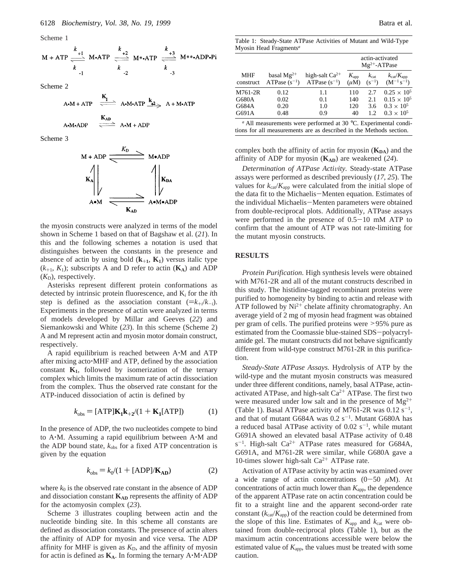Scheme 1

$$
M + ATP \xrightarrow[k+1]{\underbrace{k+1}_{k} \text{ M-ATP}} \xrightarrow[k+2]{\underbrace{k+2}_{k} \text{ M} *AP \xrightarrow[k+3]{\underbrace{k+3}_{k} \text{ M} * *ADP \cdot Pi}
$$

Scheme 2

 $\overline{1}$ 

$$
A \cdot M + ATP \xrightarrow{R_1} A \cdot M \cdot ATP \xrightarrow{k_2} A + M \cdot ATP
$$

$$
A \cdot M \cdot ADP \qquad \frac{AB}{\text{Area}} \quad A \cdot M + ADP
$$

Scheme 3



the myosin constructs were analyzed in terms of the model shown in Scheme 1 based on that of Bagshaw et al. (*21*). In this and the following schemes a notation is used that distinguishes between the constants in the presence and absence of actin by using bold  $(k_{+1}, K_1)$  versus italic type  $(k_{+1}, K_1)$ ; subscripts A and D refer to actin  $(K_A)$  and ADP  $(K_D)$ , respectively.

Asterisks represent different protein conformations as detected by intrinsic protein fluorescence, and K*<sup>i</sup>* for the *i*th step is defined as the association constant  $(=k_{+i}/k_{-i})$ . Experiments in the presence of actin were analyzed in terms of models developed by Millar and Geeves (*22*) and Siemankowski and White (*23*). In this scheme (Scheme 2) A and M represent actin and myosin motor domain construct, respectively.

A rapid equilibrium is reached between A'M and ATP after mixing acto'MHF and ATP, defined by the association constant  $K_1$ , followed by isomerization of the ternary complex which limits the maximum rate of actin dissociation from the complex. Thus the observed rate constant for the ATP-induced dissociation of actin is defined by

$$
k_{\text{obs}} = \text{[ATP]} \mathbf{K}_1 \mathbf{k}_{+2} / (1 + \mathbf{K}_1 \text{[ATP]}) \tag{1}
$$

In the presence of ADP, the two nucleotides compete to bind to A'M. Assuming a rapid equilibrium between A'M and the ADP bound state,  $k_{\text{obs}}$  for a fixed ATP concentration is given by the equation

$$
k_{\text{obs}} = k_0/(1 + \text{[ADP]}/\mathbf{K}_{\text{AD}})
$$
 (2)

where  $k_0$  is the observed rate constant in the absence of ADP and dissociation constant  $K_{AD}$  represents the affinity of ADP for the actomyosin complex (*23*).

Scheme 3 illustrates coupling between actin and the nucleotide binding site. In this scheme all constants are defined as dissociation constants. The presence of actin alters the affinity of ADP for myosin and vice versa. The ADP affinity for MHF is given as  $K<sub>D</sub>$ , and the affinity of myosin for actin is defined as  $K_A$ . In forming the ternary  $A \cdot M \cdot ADP$ 

Table 1: Steady-State ATPase Activities of Mutant and Wild-Type Myosin Head Fragments*<sup>a</sup>*

|                  |                                      |                                          | actin-activated<br>$Mg^{2+}$ -ATPase |                                |                                                      |  |
|------------------|--------------------------------------|------------------------------------------|--------------------------------------|--------------------------------|------------------------------------------------------|--|
| MHF<br>construct | basal $Mg^{2+}$<br>ATPase $(s^{-1})$ | high-salt $Ca^{2+}$<br>ATPase $(s^{-1})$ | $K_{\rm app}$<br>$(\mu M)$           | $k_{\text{cat}}$<br>$(S^{-1})$ | $k_{\text{cat}}/K_{\text{app}}$<br>$(M^{-1} s^{-1})$ |  |
| M761-2R          | 0.12                                 | 1.1                                      | 110                                  | 2.7                            | $0.25 \times 10^{5}$                                 |  |
| G680A            | 0.02                                 | 0.1                                      | 140                                  | 2.1                            | $0.15 \times 10^{5}$                                 |  |
| G684A            | 0.20                                 | 1.0                                      | 120                                  | 3.6                            | $0.3 \times 10^{5}$                                  |  |
| G691A            | 0.48                                 | 0.9                                      | 40                                   | 12                             | $0.3 \times 10^{5}$                                  |  |

*<sup>a</sup>* All measurements were performed at 30 °C. Experimental conditions for all measurements are as described in the Methods section.

complex both the affinity of actin for myosin ( $K_{DA}$ ) and the affinity of ADP for myosin  $(K_{AD})$  are weakened (24).

*Determination of ATPase Activity.* Steady-state ATPase assays were performed as described previously (*17*, *25*). The values for  $k_{\text{cat}}/K_{\text{app}}$  were calculated from the initial slope of the data fit to the Michaelis-Menten equation. Estimates of the individual Michaelis-Menten parameters were obtained from double-reciprocal plots. Additionally, ATPase assays were performed in the presence of 0.5-10 mM ATP to confirm that the amount of ATP was not rate-limiting for the mutant myosin constructs.

# **RESULTS**

*Protein Purification*. High synthesis levels were obtained with M761-2R and all of the mutant constructs described in this study. The histidine-tagged recombinant proteins were purified to homogeneity by binding to actin and release with ATP followed by  $Ni<sup>2+</sup>$  chelate affinity chromatography. An average yield of 2 mg of myosin head fragment was obtained per gram of cells. The purified proteins were >95% pure as estimated from the Coomassie blue-stained SDS-polyacrylamide gel. The mutant constructs did not behave significantly different from wild-type construct M761-2R in this purification.

*Steady-State ATPase Assays.* Hydrolysis of ATP by the wild-type and the mutant myosin constructs was measured under three different conditions, namely, basal ATPase, actinactivated ATPase, and high-salt  $Ca^{2+}$  ATPase. The first two were measured under low salt and in the presence of  $Mg^{2+}$ (Table 1). Basal ATPase activity of M761-2R was  $0.12 \text{ s}^{-1}$ , and that of mutant G684A was  $0.2 \text{ s}^{-1}$ . Mutant G680A has a reduced basal ATPase activity of  $0.02 \text{ s}^{-1}$ , while mutant G691A showed an elevated basal ATPase activity of 0.48  $s^{-1}$ . High-salt Ca<sup>2+</sup> ATPase rates measured for G684A, G691A, and M761-2R were similar, while G680A gave a 10-times slower high-salt  $Ca^{2+}$  ATPase rate.

Activation of ATPase activity by actin was examined over a wide range of actin concentrations  $(0-50 \mu M)$ . At concentrations of actin much lower than  $K_{\text{app}}$ , the dependence of the apparent ATPase rate on actin concentration could be fit to a straight line and the apparent second-order rate constant  $(k_{cat}/K_{app})$  of the reaction could be determined from the slope of this line. Estimates of  $K_{app}$  and  $k_{cat}$  were obtained from double-reciprocal plots (Table 1), but as the maximum actin concentrations accessible were below the estimated value of  $K_{\text{app}}$ , the values must be treated with some caution.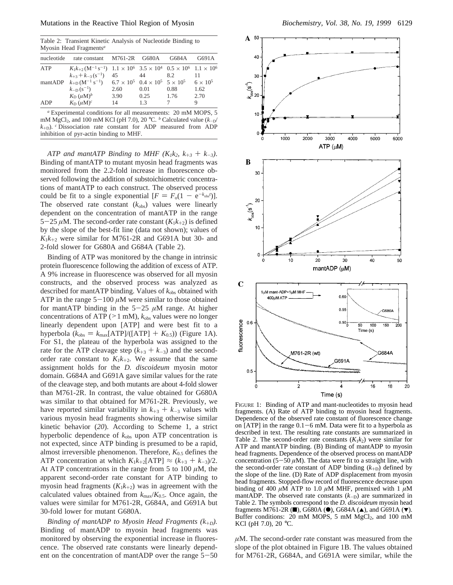Table 2: Transient Kinetic Analysis of Nucleotide Binding to Myosin Head Fragments*<sup>a</sup>*

| nucleotide | rate constant M761-2R G680A                                                                                                            |      |      | G684A | G691A           |
|------------|----------------------------------------------------------------------------------------------------------------------------------------|------|------|-------|-----------------|
| ATP        | $K_1k_{+2}$ (M <sup>-1</sup> s <sup>-1</sup> ) 1.1 × 10 <sup>6</sup> 3.5 × 10 <sup>4</sup> 0.5 × 10 <sup>6</sup> 1.1 × 10 <sup>6</sup> |      |      |       |                 |
|            | $k_{+3} + k_{-3} (s^{-1})$                                                                                                             | 45   | 44   | 8.2   | 11              |
| mantADP    | $k_{\text{+D}}$ (M <sup>-1</sup> s <sup>-1</sup> ) 6.7 × 10 <sup>5</sup> 0.4 × 10 <sup>5</sup> 5 × 10 <sup>5</sup>                     |      |      |       | $6 \times 10^5$ |
|            | $k_{\text{-D}}(s^{-1})$                                                                                                                | 2.60 | 0.01 | 0.88  | 1.62            |
|            | $K_{\text{D}} (\mu \text{M})^b$                                                                                                        | 3.90 | 0.25 | 1.76  | 2.70            |
| ADP        | $K_{\rm D}$ $(\mu{\rm M})^c$                                                                                                           | 14   | 1.3  |       | 9               |

*<sup>a</sup>* Experimental conditions for all measurements: 20 mM MOPS, 5 mM MgCl<sub>2</sub>, and 100 mM KCl (pH 7.0), 20 °C. <sup>*b*</sup> Calculated value (*k*-<sub>D</sub>/  $k_{\text{+D}}$ ). *c* Dissociation rate constant for ADP measured from ADP inhibition of pyr-actin binding to MHF.

*ATP and mantATP Binding to MHF (K<sub>1</sub>k<sub>2</sub>, k<sub>+3</sub> + k<sub>-3</sub>).* Binding of mantATP to mutant myosin head fragments was monitored from the 2.2-fold increase in fluorescence observed following the addition of substoichiometric concentrations of mantATP to each construct. The observed process could be fit to a single exponential  $[F = F_0(1 - e^{-k_{obs}t})]$ .<br>The observed rate constant  $(k_+)$  values were linearly The observed rate constant  $(k_{obs})$  values were linearly dependent on the concentration of mantATP in the range 5-25  $\mu$ M. The second-order rate constant  $(K_1k_{+2})$  is defined by the slope of the best-fit line (data not shown); values of  $K_1k_{+2}$  were similar for M761-2R and G691A but 30- and 2-fold slower for G680A and G684A (Table 2).

Binding of ATP was monitored by the change in intrinsic protein fluorescence following the addition of excess of ATP. A 9% increase in fluorescence was observed for all myosin constructs, and the observed process was analyzed as described for mantATP binding. Values of  $k_{obs}$  obtained with ATP in the range  $5-100 \mu M$  were similar to those obtained for mantATP binding in the  $5-25 \mu M$  range. At higher concentrations of ATP ( $>1$  mM),  $k_{obs}$  values were no longer linearly dependent upon [ATP] and were best fit to a hyperbola ( $k_{obs} = k_{max}$ [ATP]/([ATP] +  $K_{0.5}$ )) (Figure 1A). For S1, the plateau of the hyperbola was assigned to the rate for the ATP cleavage step  $(k_{+3} + k_{-3})$  and the secondorder rate constant to  $K_1k_{+2}$ . We assume that the same assignment holds for the *D. discoideum* myosin motor domain. G684A and G691A gave similar values for the rate of the cleavage step, and both mutants are about 4-fold slower than M761-2R. In contrast, the value obtained for G680A was similar to that obtained for M761-2R. Previously, we have reported similar variability in  $k_{+3} + k_{-3}$  values with various myosin head fragments showing otherwise similar kinetic behavior (*20*). According to Scheme 1, a strict hyperbolic dependence of  $k_{obs}$  upon ATP concentration is not expected, since ATP binding is presumed to be a rapid, almost irreversible phenomenon. Therefore,  $K_{0.5}$  defines the ATP concentration at which  $K_1k_{+2}$ [ATP]  $\approx$   $(k_{+3} + k_{-3})/2$ . At ATP concentrations in the range from 5 to 100  $\mu$ M, the apparent second-order rate constant for ATP binding to myosin head fragments  $(K_1k_{+2})$  was in agreement with the calculated values obtained from  $k_{\text{max}}/K_{0.5}$ . Once again, the values were similar for M761-2R, G684A, and G691A but 30-fold lower for mutant G680A.

*Binding of mantADP to Myosin Head Fragments (k*+*D).* Binding of mantADP to myosin head fragments was monitored by observing the exponential increase in fluorescence. The observed rate constants were linearly dependent on the concentration of mantADP over the range  $5-50$ 



FIGURE 1: Binding of ATP and mant-nucleotides to myosin head fragments. (A) Rate of ATP binding to myosin head fragments. Dependence of the observed rate constant of fluorescence change on [ATP] in the range  $0.1-6$  mM. Data were fit to a hyperbola as described in text. The resulting rate constants are summarized in Table 2. The second-order rate constants  $(K_1k_2)$  were similar for ATP and mantATP binding. (B) Binding of mantADP to myosin head fragments. Dependence of the observed process on mantADP concentration (5-50  $\mu$ M). The data were fit to a straight line, with the second-order rate constant of ADP binding  $(k_{+D})$  defined by the slope of the line. (D) Rate of ADP displacement from myosin head fragments. Stopped-flow record of fluorescence decrease upon binding of 400  $\mu$ M ATP to 1.0  $\mu$ M MHF, premixed with 1  $\mu$ M mantADP. The observed rate constants  $(k_{-D})$  are summarized in Table 2. The symbols correspond to the *D. discoideum* myosin head fragments M761-2R ( $\blacksquare$ ), G680A ( $\blacklozenge$ ), G684A ( $\blacktriangle$ ), and G691A ( $\blacktriangledown$ ). Buffer conditions: 20 mM MOPS, 5 mM  $MgCl<sub>2</sub>$ , and 100 mM KCl (pH 7.0), 20 °C.

*µ*M. The second-order rate constant was measured from the slope of the plot obtained in Figure 1B. The values obtained for M761-2R, G684A, and G691A were similar, while the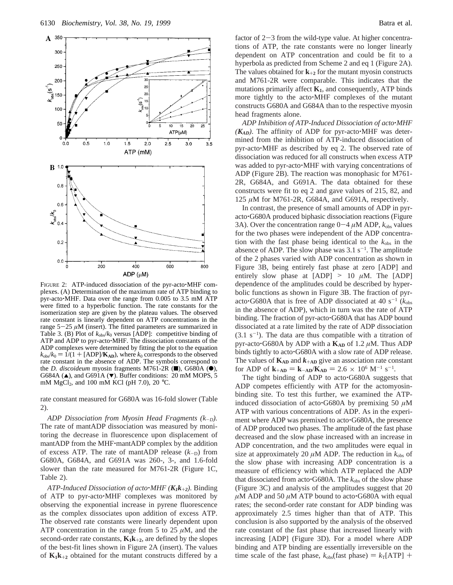

FIGURE 2: ATP-induced dissociation of the pyr-acto'MHF complexes. (A) Determination of the maximum rate of ATP binding to pyr-acto'MHF. Data over the range from 0.005 to 3.5 mM ATP were fitted to a hyperbolic function. The rate constants for the isomerization step are given by the plateau values. The observed rate constant is linearly dependent on ATP concentrations in the range 5-<sup>25</sup> *<sup>µ</sup>*M (insert). The fitted parameters are summarized in Table 3. (B) Plot of  $k_{obs}/k_0$  versus [ADP]: competitive binding of ATP and ADP to pyr-acto'MHF. The dissociation constants of the ADP complexes were determined by fitting the plot to the equation  $k_{obs}/k_0 = 1/(1 + [ADP]/K_{AD})$ , where  $k_0$  corresponds to the observed rate constant in the absence of ADP. The symbols correspond to the *D. discoideum* myosin fragments M761-2R  $(\blacksquare)$ , G680A  $(\lozenge)$ , G684A ( $\triangle$ ), and G691A ( $\nabla$ ). Buffer conditions: 20 mM MOPS, 5 mM MgCl<sub>2</sub>, and 100 mM KCl (pH 7.0), 20 °C.

rate constant measured for G680A was 16-fold slower (Table 2).

*ADP Dissociation from Myosin Head Fragments (k*-*D).* The rate of mantADP dissociation was measured by monitoring the decrease in fluorescence upon displacement of mantADP from the MHF'mantADP complex by the addition of excess ATP. The rate of mantADP release  $(k_{-D})$  from G680A, G684A, and G691A was 260-, 3-, and 1.6-fold slower than the rate measured for M761-2R (Figure 1C, Table 2).

*ATP-Induced Dissociation of acto*'*MHF (K1k*+*<sup>2</sup>).* Binding of ATP to pyr-acto'MHF complexes was monitored by observing the exponential increase in pyrene fluorescence as the complex dissociates upon addition of excess ATP. The observed rate constants were linearly dependent upon ATP concentration in the range from 5 to 25  $\mu$ M, and the second-order rate constants,  $K_1k_{+2}$ , are defined by the slopes of the best-fit lines shown in Figure 2A (insert). The values of  $K_1k_{+2}$  obtained for the mutant constructs differed by a head fragments alone. *ADP Inhibition of ATP-Induced Dissociation of acto*'*MHF*  $(K_{AD})$ . The affinity of ADP for pyr-acto $\cdot$ MHF was determined from the inhibition of ATP-induced dissociation of pyr-acto'MHF as described by eq 2. The observed rate of dissociation was reduced for all constructs when excess ATP was added to pyr-acto'MHF with varying concentrations of ADP (Figure 2B). The reaction was monophasic for M761- 2R, G684A, and G691A. The data obtained for these constructs were fit to eq 2 and gave values of 215, 82, and 125 *µ*M for M761-2R, G684A, and G691A, respectively.

constructs G680A and G684A than to the respective myosin

In contrast, the presence of small amounts of ADP in pyracto'G680A produced biphasic dissociation reactions (Figure 3A). Over the concentration range  $0-4 \mu M$  ADP,  $k_{obs}$  values for the two phases were independent of the ADP concentration with the fast phase being identical to the  $k_{obs}$  in the absence of ADP. The slow phase was  $3.1 \text{ s}^{-1}$ . The amplitude of the 2 phases varied with ADP concentration as shown in Figure 3B, being entirely fast phase at zero [ADP] and entirely slow phase at  $[ADP] > 10 \mu M$ . The  $[ADP]$ dependence of the amplitudes could be described by hyperbolic functions as shown in Figure 3B. The fraction of pyracto<sup> $\cdot$ </sup>G680A that is free of ADP dissociated at 40 s<sup>-1</sup> ( $k_{\text{obs}}$ ) in the absence of ADP), which in turn was the rate of ATP binding. The fraction of pyr-acto<sup>·</sup>G680A that has ADP bound dissociated at a rate limited by the rate of ADP dissociation  $(3.1 \text{ s}^{-1})$ . The data are thus compatible with a titration of pyr-acto $\cdot$ G680A by ADP with a  $K_{AD}$  of 1.2  $\mu$ M. Thus ADP binds tightly to acto'G680A with a slow rate of ADP release. The values of  $K_{AD}$  and  $k_{+AD}$  give an association rate constant for ADP of  $\mathbf{k}_{\text{+AD}} = \mathbf{k}_{\text{-AD}}/\mathbf{K}_{\text{AD}} = 2.6 \times 10^6 \text{ M}^{-1} \text{ s}^{-1}$ .<br>The tight binding of ADP to acto: G680A suggest

The tight binding of ADP to acto<sup>G680A</sup> suggests that ADP competes efficiently with ATP for the actomyosinbinding site. To test this further, we examined the ATPinduced dissociation of acto<sup> $\cdot$ </sup>G680A by premixing 50  $\mu$ M ATP with various concentrations of ADP. As in the experiment where ADP was premixed to acto. G680A, the presence of ADP produced two phases. The amplitude of the fast phase decreased and the slow phase increased with an increase in ADP concentration, and the two amplitudes were equal in size at approximately 20  $\mu$ M ADP. The reduction in  $k_{obs}$  of the slow phase with increasing ADP concentration is a measure of efficiency with which ATP replaced the ADP that dissociated from acto $\cdot$ G680A. The  $k_{obs}$  of the slow phase (Figure 3C) and analysis of the amplitudes suggest that 20  $\mu$ M ADP and 50  $\mu$ M ATP bound to acto<sup>-</sup>G680A with equal rates; the second-order rate constant for ADP binding was approximately 2.5 times higher than that of ATP. This conclusion is also supported by the analysis of the observed rate constant of the fast phase that increased linearly with increasing [ADP] (Figure 3D). For a model where ADP binding and ATP binding are essentially irreversible on the time scale of the fast phase,  $k_{obs}$ (fast phase) =  $k_T$ [ATP] +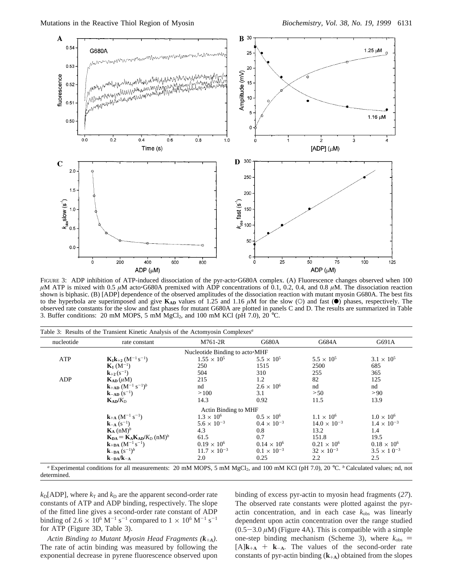

FIGURE 3: ADP inhibition of ATP-induced dissociation of the pyr-acto<sup>-</sup>G680A complex. (A) Fluorescence changes observed when 100  $\mu$ M ATP is mixed with 0.5  $\mu$ M acto<sup>-</sup>G680A premixed with ADP concentrations of 0.1, 0.2, 0.4, and 0.8  $\mu$ M. The dissociation reaction shown is biphasic. (B) [ADP] dependence of the observed amplitudes of the dissociation reaction with mutant myosin G680A. The best fits to the hyperbola are superimposed and give  $K_{AD}$  values of 1.25 and 1.16  $\mu$ M for the slow (O) and fast ( $\bullet$ ) phases, respectively. The observed rate constants for the slow and fast phases for mutant G680A are plotted in panels C and D. The results are summarized in Table 3. Buffer conditions: 20 mM MOPS, 5 mM MgCl<sub>2</sub>, and 100 mM KCl (pH 7.0), 20 °C.

| nucleotide | rate constant                                                                | M761-2R                        | G680A                | G684A                 | G691A                |
|------------|------------------------------------------------------------------------------|--------------------------------|----------------------|-----------------------|----------------------|
|            |                                                                              | Nucleotide Binding to acto•MHF |                      |                       |                      |
| ATP        | $K_1k_{+2}$ (M <sup>-1</sup> s <sup>-1</sup> )                               | $1.55 \times 10^{5}$           | $5.5 \times 10^{5}$  | $5.5 \times 10^{5}$   | $3.1 \times 10^{5}$  |
|            | ${\bf K}_1(M^{-1})$                                                          | 250                            | 1515                 | 2500                  | 685                  |
|            | ${\bf k}_{+2}(s^{-1})$                                                       | 504                            | 310                  | 255                   | 365                  |
| ADP        | $K_{AD}(\mu M)$                                                              | 215                            | 1.2                  | 82                    | 125                  |
|            | ${\bf k}_{+AD}$ $({\bf M}^{-1}$ s <sup>-1</sup> ) <sup>b</sup>               | nd                             | $2.6 \times 10^{6}$  | nd                    | nd                   |
|            | ${\bf k}_{-AD} (s^{-1})$                                                     | >100                           | 3.1                  | > 50                  | >90                  |
|            | $K_{AD}/K_{D}$                                                               | 14.3                           | 0.92                 | 11.5                  | 13.9                 |
|            |                                                                              | Actin Binding to MHF           |                      |                       |                      |
|            | ${\bf k}_{+{\rm A}}\,({\rm M}^{-1}\,{\rm s}^{-1})$                           | $1.3 \times 10^{6}$            | $0.5 \times 10^{6}$  | $1.1 \times 10^6$     | $1.0 \times 10^{6}$  |
|            | ${\bf k}_{-{\bf A}}(s^{-1})$                                                 | $5.6 \times 10^{-3}$           | $0.4 \times 10^{-3}$ | $14.0 \times 10^{-3}$ | $1.4 \times 10^{-3}$ |
|            | $\mathbf{K}_{\mathbf{A}}$ (nM) <sup>b</sup>                                  | 4.3                            | 0.8                  | 13.2                  | $1.4^{\circ}$        |
|            | $\mathbf{K}_{DA} = \mathbf{K}_{A} \mathbf{K}_{AD} / K_{D}$ (nM) <sup>b</sup> | 61.5                           | 0.7                  | 151.8                 | 19.5                 |
|            | ${\bf k}_{+{\bf D}{\bf A}}$ $({\bf M}^{-1}\,{\bf s}^{-1})$                   | $0.19 \times 10^{6}$           | $0.14 \times 10^{6}$ | $0.21 \times 10^6$    | $0.18 \times 10^{6}$ |
|            | <b>k</b> – <b>p</b> A $(s^{-1})^b$                                           | $11.7 \times 10^{-3}$          | $0.1 \times 10^{-3}$ | $32 \times 10^{-3}$   | $3.5 \times 10^{-3}$ |
|            | $k_{-DA}/k_{-A}$                                                             | 2.0                            | 0.25                 | 2.2                   | 2.5                  |

*a* Experimental conditions for all measurements: 20 mM MOPS, 5 mM MgCl<sub>2</sub>, and 100 mM KCl (pH 7.0), 20 °C. *b* Calculated values; nd, not determined.

 $k_D[ADP]$ , where  $k_T$  and  $k_D$  are the apparent second-order rate constants of ATP and ADP binding, respectively. The slope of the fitted line gives a second-order rate constant of ADP binding of 2.6  $\times$  10<sup>6</sup> M<sup>-1</sup> s<sup>-1</sup> compared to 1  $\times$  10<sup>6</sup> M<sup>-1</sup> s<sup>-1</sup> for ATP (Figure 3D, Table 3).

*Actin Binding to Mutant Myosin Head Fragments (k*+*<sup>A</sup>)*. The rate of actin binding was measured by following the exponential decrease in pyrene fluorescence observed upon binding of excess pyr-actin to myosin head fragments (*27*). The observed rate constants were plotted against the pyractin concentration, and in each case  $k_{obs}$  was linearly dependent upon actin concentration over the range studied  $(0.5-3.0 \,\mu M)$  (Figure 4A). This is compatible with a simple one-step binding mechanism (Scheme 3), where  $k_{obs}$  =  $[A]\mathbf{k}_{+A}$  +  $\mathbf{k}_{-A}$ . The values of the second-order rate constants of pyr-actin binding (**k**+**<sup>A</sup>**) obtained from the slopes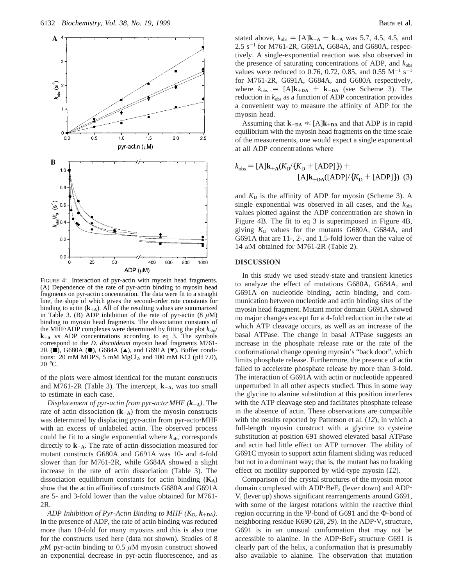

FIGURE 4: Interaction of pyr-actin with myosin head fragments. (A) Dependence of the rate of pyr-actin binding to myosin head fragments on pyr-actin concentration. The data were fit to a straight line, the slope of which gives the second-order rate constants for binding to actin  $(k_{+A})$ . All of the resulting values are summarized in Table 3. (B) ADP inhibition of the rate of pyr-actin  $(8 \mu M)$ binding to myosin head fragments. The dissociation constants of the MHF $\cdot$ ADP complexes were determined by fitting the plot  $k_{\text{obs}}/$ **<sup>k</sup>**+**<sup>A</sup>** vs ADP concentrations according to eq 3. The symbols correspond to the *D. discoideum* myosin head fragments M761- 2R ( $\blacksquare$ ), G680A ( $\spadesuit$ ), G684A ( $\spadesuit$ ), and G691A ( $\blacktriangledown$ ). Buffer conditions:  $20 \text{ mM MOPS}, 5 \text{ mM MgCl}_2, \text{ and } 100 \text{ mM KCl (pH 7.0)},$ 20 °C.

of the plots were almost identical for the mutant constructs and M761-2R (Table 3). The intercept, **<sup>k</sup>**-**<sup>A</sup>**, was too small to estimate in each case.

*Displacement of pyr-actin from pyr-acto*'*MHF (k*-*<sup>A</sup>)*. The rate of actin dissociation  $(k_{-A})$  from the myosin constructs was determined by displacing pyr-actin from pyr-acto $\cdot$ MHF with an excess of unlabeled actin. The observed process could be fit to a single exponential where  $k_{obs}$  corresponds directly to **<sup>k</sup>**-**<sup>A</sup>**. The rate of actin dissociation measured for mutant constructs G680A and G691A was 10- and 4-fold slower than for M761-2R, while G684A showed a slight increase in the rate of actin dissociation (Table 3). The dissociation equilibrium constants for actin binding  $(K_A)$ show that the actin affinities of constructs G680A and G691A are 5- and 3-fold lower than the value obtained for M761- 2R.

*ADP Inhibition of Pyr-Actin Binding to MHF (K<sub>D</sub>, k<sub>+DA</sub>).* In the presence of ADP, the rate of actin binding was reduced more than 10-fold for many myosins and this is also true for the constructs used here (data not shown). Studies of 8  $\mu$ M pyr-actin binding to 0.5  $\mu$ M myosin construct showed an exponential decrease in pyr-actin fluorescence, and as

stated above,  $k_{obs} = [A]k_{+A} + k_{-A}$  was 5.7, 4.5, 4.5, and  $2.5 \text{ s}^{-1}$  for M761-2R, G691A, G684A, and G680A, respectively. A single-exponential reaction was also observed in the presence of saturating concentrations of ADP, and *k*obs values were reduced to 0.76, 0.72, 0.85, and 0.55  $M^{-1}$  s<sup>-1</sup> for M761-2R, G691A, G684A, and G680A respectively, where  $k_{obs} = [A]k_{+DA} + k_{-DA}$  (see Scheme 3). The reduction in *k*obs as a function of ADP concentration provides a convenient way to measure the affinity of ADP for the myosin head.

Assuming that  $\mathbf{k}_{-DA} \ll [A]\mathbf{k}_{+DA}$  and that ADP is in rapid equilibrium with the myosin head fragments on the time scale of the measurements, one would expect a single exponential at all ADP concentrations where

$$
k_{\text{obs}} = [A]k_{+A}(K_{D}/\{K_{D} + [ADP]\}) +
$$

$$
[A]k_{+DA}([ADP]/\{K_{D} + [ADP]\})
$$
(3)

and  $K<sub>D</sub>$  is the affinity of ADP for myosin (Scheme 3). A single exponential was observed in all cases, and the  $k_{obs}$ values plotted against the ADP concentration are shown in Figure 4B. The fit to eq 3 is superimposed in Figure 4B, giving  $K<sub>D</sub>$  values for the mutants G680A, G684A, and G691A that are 11-, 2-, and 1.5-fold lower than the value of 14 *µ*M obtained for M761-2R (Table 2).

## **DISCUSSION**

In this study we used steady-state and transient kinetics to analyze the effect of mutations G680A, G684A, and G691A on nucleotide binding, actin binding, and communication between nucleotide and actin binding sites of the myosin head fragment. Mutant motor domain G691A showed no major changes except for a 4-fold reduction in the rate at which ATP cleavage occurs, as well as an increase of the basal ATPase. The change in basal ATPase suggests an increase in the phosphate release rate or the rate of the conformational change opening myosin's "back door", which limits phosphate release. Furthermore, the presence of actin failed to accelerate phosphate release by more than 3-fold. The interaction of G691A with actin or nucleotide appeared unperturbed in all other aspects studied. Thus in some way the glycine to alanine substitution at this position interferes with the ATP cleavage step and facilitates phosphate release in the absence of actin. These observations are compatible with the results reported by Patterson et al. (*12*), in which a full-length myosin construct with a glycine to cysteine substitution at position 691 showed elevated basal ATPase and actin had little effect on ATP turnover. The ability of G691C myosin to support actin filament sliding was reduced but not in a dominant way; that is, the mutant has no braking effect on motility supported by wild-type myosin (*12*).

Comparison of the crystal structures of the myosin motor domain complexed with ADP·BeF<sub>3</sub> (lever down) and ADP·  $V_i$  (lever up) shows significant rearrangements around G691, with some of the largest rotations within the reactive thiol region occurring in the Ψ-bond of G691 and the Φ-bond of neighboring residue K690 (28, 29). In the ADP<sup> $\cdot$ V<sub>i</sub> structure,</sup> G691 is in an unusual conformation that may not be accessible to alanine. In the ADP $\cdot$ Be $F_3$  structure G691 is clearly part of the helix, a conformation that is presumably also available to alanine. The observation that mutation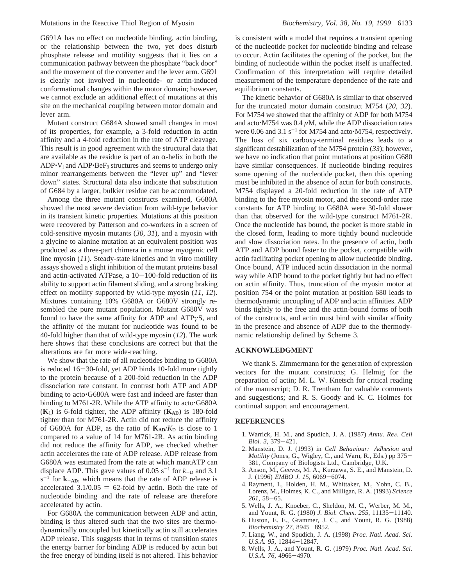G691A has no effect on nucleotide binding, actin binding, or the relationship between the two, yet does disturb phosphate release and motility suggests that it lies on a communication pathway between the phosphate "back door" and the movement of the converter and the lever arm. G691 is clearly not involved in nucleotide- or actin-induced conformational changes within the motor domain; however, we cannot exclude an additional effect of mutations at this site on the mechanical coupling between motor domain and lever arm.

Mutant construct G684A showed small changes in most of its properties, for example, a 3-fold reduction in actin affinity and a 4-fold reduction in the rate of ATP cleavage. This result is in good agreement with the structural data that are available as the residue is part of an  $\alpha$ -helix in both the  $ADP\cdot V_i$  and  $ADP\cdot BeF_3$  structures and seems to undergo only minor rearrangements between the "lever up" and "lever down" states. Structural data also indicate that substitution of G684 by a larger, bulkier residue can be accommodated.

Among the three mutant constructs examined, G680A showed the most severe deviation from wild-type behavior in its transient kinetic properties. Mutations at this position were recovered by Patterson and co-workers in a screen of cold-sensitive myosin mutants (*30*, *31*), and a myosin with a glycine to alanine mutation at an equivalent position was produced as a three-part chimera in a mouse myogenic cell line myosin (*11*). Steady-state kinetics and in vitro motility assays showed a slight inhibition of the mutant proteins basal and actin-activated ATPase, a  $10-100$ -fold reduction of its ability to support actin filament sliding, and a strong braking effect on motility supported by wild-type myosin (*11*, *12*). Mixtures containing 10% G680A or G680V strongly resembled the pure mutant population. Mutant G680V was found to have the same affinity for ADP and ATP*γ*S, and the affinity of the mutant for nucleotide was found to be 40-fold higher than that of wild-type myosin (*12*). The work here shows that these conclusions are correct but that the alterations are far more wide-reaching.

We show that the rate of all nucleotides binding to G680A is reduced 16-30-fold, yet ADP binds 10-fold more tightly to the protein because of a 200-fold reduction in the ADP dissociation rate constant. In contrast both ATP and ADP binding to acto<sup>\*</sup>G680A were fast and indeed are faster than binding to M761-2R. While the ATP affinity to acto $\cdot$ G680A (**K**1) is 6-fold tighter, the ADP affinity (**KAD**) is 180-fold tighter than for M761-2R. Actin did not reduce the affinity of G680A for ADP, as the ratio of  $K_{AD}/K_D$  is close to 1 compared to a value of 14 for M761-2R. As actin binding did not reduce the affinity for ADP, we checked whether actin accelerates the rate of ADP release. ADP release from G680A was estimated from the rate at which mantATP can displace ADP. This gave values of  $0.05$  s<sup>-1</sup> for  $k_{\text{D}}$  and 3.1  $s^{-1}$  for  $k_{-AD}$ , which means that the rate of ADP release is accelerated  $3.1/0.05 = 62$ -fold by actin. Both the rate of nucleotide binding and the rate of release are therefore accelerated by actin.

For G680A the communication between ADP and actin, binding is thus altered such that the two sites are thermodynamically uncoupled but kinetically actin still accelerates ADP release. This suggests that in terms of transition states the energy barrier for binding ADP is reduced by actin but the free energy of binding itself is not altered. This behavior

is consistent with a model that requires a transient opening of the nucleotide pocket for nucleotide binding and release to occur. Actin facilitates the opening of the pocket, but the binding of nucleotide within the pocket itself is unaffected. Confirmation of this interpretation will require detailed measurement of the temperature dependence of the rate and equilibrium constants.

The kinetic behavior of G680A is similar to that observed for the truncated motor domain construct M754 (*20*, *32*). For M754 we showed that the affinity of ADP for both M754 and acto $\cdot$ M754 was 0.4  $\mu$ M, while the ADP dissociation rates were 0.06 and 3.1  $s^{-1}$  for M754 and acto $\cdot$ M754, respectively. The loss of six carboxy-terminal residues leads to a significant destabilization of the M754 protein (*33*); however, we have no indication that point mutations at position G680 have similar consequences. If nucleotide binding requires some opening of the nucleotide pocket, then this opening must be inhibited in the absence of actin for both constructs. M754 displayed a 20-fold reduction in the rate of ATP binding to the free myosin motor, and the second-order rate constants for ATP binding to G680A were 30-fold slower than that observed for the wild-type construct M761-2R. Once the nucleotide has bound, the pocket is more stable in the closed form, leading to more tightly bound nucleotide and slow dissociation rates. In the presence of actin, both ATP and ADP bound faster to the pocket, compatible with actin facilitating pocket opening to allow nucleotide binding. Once bound, ATP induced actin dissociation in the normal way while ADP bound to the pocket tightly but had no effect on actin affinity. Thus, truncation of the myosin motor at position 754 or the point mutation at position 680 leads to thermodynamic uncoupling of ADP and actin affinities. ADP binds tightly to the free and the actin-bound forms of both of the constructs, and actin must bind with similar affinity in the presence and absence of ADP due to the thermodynamic relationship defined by Scheme 3.

### **ACKNOWLEDGMENT**

We thank S. Zimmermann for the generation of expression vectors for the mutant constructs; G. Helmig for the preparation of actin; M. L. W. Knetsch for critical reading of the manuscript; D. R. Trentham for valuable comments and suggestions; and R. S. Goody and K. C. Holmes for continual support and encouragement.

### **REFERENCES**

- 1. Warrick, H. M., and Spudich, J. A. (1987) *Annu. Re*V*. Cell Biol. 3*, 379-421.
- 2. Manstein, D. J. (1993) in *Cell Behaviour: Adhesion and Motility* (Jones, G., Wigley, C., and Warn, R., Eds.) pp 375- 381, Company of Biologists Ltd., Cambridge, U.K.
- 3. Anson, M., Geeves, M. A., Kurzawa, S. E., and Manstein, D. J. (1996) *EMBO J. 15*, 6069-6074.
- 4. Rayment, I., Holden, H. M., Whittaker, M., Yohn, C. B., Lorenz, M., Holmes, K. C., and Milligan, R. A. (1993) *Science <sup>261</sup>*, 58-65.
- 5. Wells, J. A., Knoeber, C., Sheldon, M. C., Werber, M. M., and Yount, R. G. (1980) *J. Biol. Chem. 255*, 11135-11140.
- 6. Huston, E. E., Grammer, J. C., and Yount, R. G. (1988) *Biochemistry 27*, 8945-8952.
- 7. Liang, W., and Spudich, J. A. (1998) *Proc. Natl. Acad. Sci. U.S.A. 95*, 12844-12847.
- 8. Wells, J. A., and Yount, R. G. (1979) *Proc. Natl. Acad. Sci. U.S.A. 76*, 4966-4970.